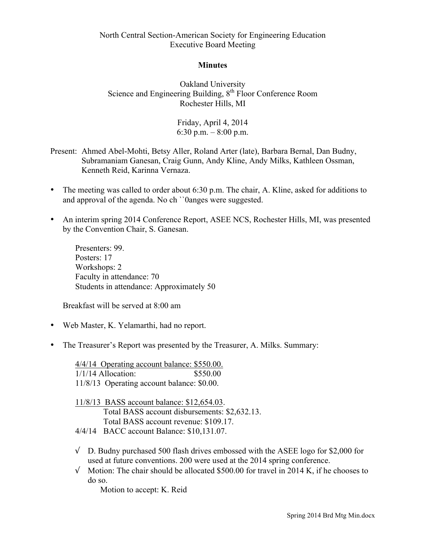## **Minutes**

Oakland University Science and Engineering Building, 8<sup>th</sup> Floor Conference Room Rochester Hills, MI

> Friday, April 4, 2014 6:30 p.m.  $-8:00$  p.m.

- Present: Ahmed Abel-Mohti, Betsy Aller, Roland Arter (late), Barbara Bernal, Dan Budny, Subramaniam Ganesan, Craig Gunn, Andy Kline, Andy Milks, Kathleen Ossman, Kenneth Reid, Karinna Vernaza.
- The meeting was called to order about 6:30 p.m. The chair, A. Kline, asked for additions to and approval of the agenda. No ch ``0anges were suggested.
- An interim spring 2014 Conference Report, ASEE NCS, Rochester Hills, MI, was presented by the Convention Chair, S. Ganesan.

Presenters: 99. Posters: 17 Workshops: 2 Faculty in attendance: 70 Students in attendance: Approximately 50

Breakfast will be served at 8:00 am

- Web Master, K. Yelamarthi, had no report.
- The Treasurer's Report was presented by the Treasurer, A. Milks. Summary:

4/4/14 Operating account balance: \$550.00. 1/1/14 Allocation: \$550.00 11/8/13 Operating account balance: \$0.00.

11/8/13 BASS account balance: \$12,654.03. Total BASS account disbursements: \$2,632.13. Total BASS account revenue: \$109.17. 4/4/14 BACC account Balance: \$10,131.07.

- $\sqrt{ }$  D. Budny purchased 500 flash drives embossed with the ASEE logo for \$2,000 for used at future conventions. 200 were used at the 2014 spring conference.
- $\sqrt{\phantom{a}}$  Motion: The chair should be allocated \$500.00 for travel in 2014 K, if he chooses to do so.

Motion to accept: K. Reid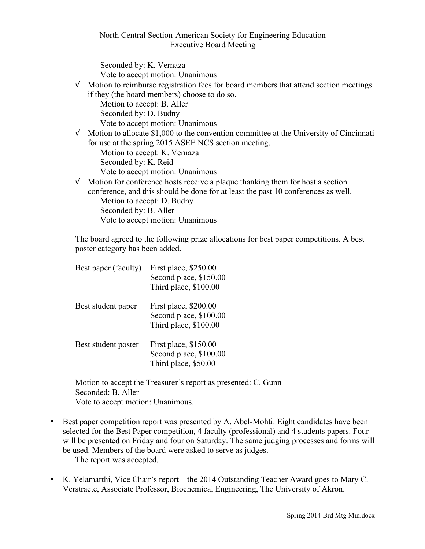Seconded by: K. Vernaza Vote to accept motion: Unanimous

- $\sqrt{\phantom{a}}$  Motion to reimburse registration fees for board members that attend section meetings if they (the board members) choose to do so. Motion to accept: B. Aller Seconded by: D. Budny Vote to accept motion: Unanimous
- $\sqrt{\phantom{a}}$  Motion to allocate \$1,000 to the convention committee at the University of Cincinnati for use at the spring 2015 ASEE NCS section meeting. Motion to accept: K. Vernaza Seconded by: K. Reid
	- Vote to accept motion: Unanimous
- $\sqrt{\phantom{a}}$  Motion for conference hosts receive a plaque thanking them for host a section conference, and this should be done for at least the past 10 conferences as well. Motion to accept: D. Budny Seconded by: B. Aller Vote to accept motion: Unanimous

The board agreed to the following prize allocations for best paper competitions. A best poster category has been added.

| Best paper (faculty) | First place, \$250.00<br>Second place, \$150.00<br>Third place, \$100.00 |
|----------------------|--------------------------------------------------------------------------|
| Best student paper   | First place, \$200.00<br>Second place, \$100.00<br>Third place, \$100.00 |
| Best student poster  | First place, \$150.00<br>Second place, \$100.00<br>Third place, \$50.00  |

Motion to accept the Treasurer's report as presented: C. Gunn Seconded: B. Aller Vote to accept motion: Unanimous.

- Best paper competition report was presented by A. Abel-Mohti. Eight candidates have been selected for the Best Paper competition, 4 faculty (professional) and 4 students papers. Four will be presented on Friday and four on Saturday. The same judging processes and forms will be used. Members of the board were asked to serve as judges. The report was accepted.
- K. Yelamarthi, Vice Chair's report the 2014 Outstanding Teacher Award goes to Mary C. Verstraete, Associate Professor, Biochemical Engineering, The University of Akron.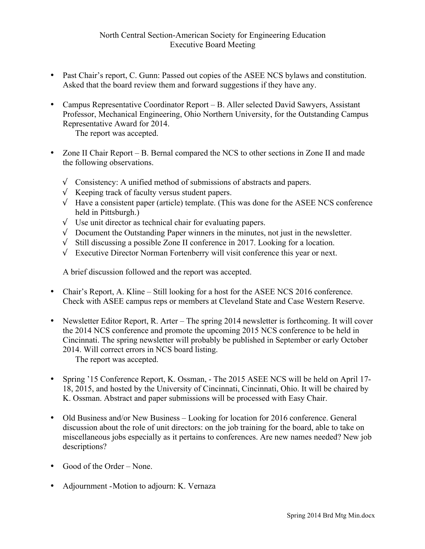- Past Chair's report, C. Gunn: Passed out copies of the ASEE NCS bylaws and constitution. Asked that the board review them and forward suggestions if they have any.
- Campus Representative Coordinator Report B. Aller selected David Sawyers, Assistant Professor, Mechanical Engineering, Ohio Northern University, for the Outstanding Campus Representative Award for 2014.

The report was accepted.

- Zone II Chair Report B. Bernal compared the NCS to other sections in Zone II and made the following observations.
	- $\sqrt{\phantom{a}}$  Consistency: A unified method of submissions of abstracts and papers.
	- $\sqrt{\ }$  Keeping track of faculty versus student papers.
	- $\sqrt{\phantom{a}}$  Have a consistent paper (article) template. (This was done for the ASEE NCS conference held in Pittsburgh.)
	- √ Use unit director as technical chair for evaluating papers.
	- √ Document the Outstanding Paper winners in the minutes, not just in the newsletter.
	- √ Still discussing a possible Zone II conference in 2017. Looking for a location.
	- √ Executive Director Norman Fortenberry will visit conference this year or next.

A brief discussion followed and the report was accepted.

- Chair's Report, A. Kline Still looking for a host for the ASEE NCS 2016 conference. Check with ASEE campus reps or members at Cleveland State and Case Western Reserve.
- Newsletter Editor Report, R. Arter The spring 2014 newsletter is forthcoming. It will cover the 2014 NCS conference and promote the upcoming 2015 NCS conference to be held in Cincinnati. The spring newsletter will probably be published in September or early October 2014. Will correct errors in NCS board listing.

The report was accepted.

- Spring '15 Conference Report, K. Ossman, The 2015 ASEE NCS will be held on April 17- 18, 2015, and hosted by the University of Cincinnati, Cincinnati, Ohio. It will be chaired by K. Ossman. Abstract and paper submissions will be processed with Easy Chair.
- Old Business and/or New Business Looking for location for 2016 conference. General discussion about the role of unit directors: on the job training for the board, able to take on miscellaneous jobs especially as it pertains to conferences. Are new names needed? New job descriptions?
- Good of the Order None.
- Adjournment Motion to adjourn: K. Vernaza